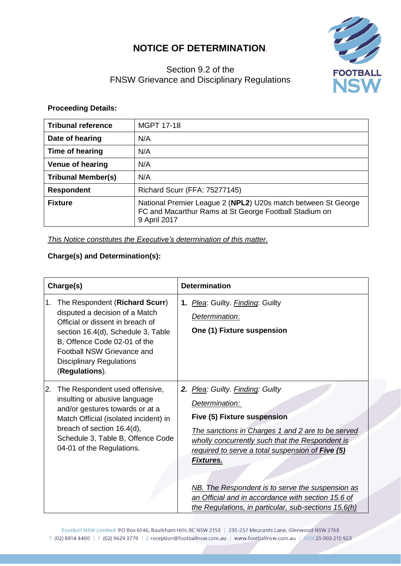## **NOTICE OF DETERMINATION**.



## Section 9.2 of the FNSW Grievance and Disciplinary Regulations

## **Proceeding Details:**

| <b>Tribunal reference</b> | <b>MGPT 17-18</b>                                                                                                                       |
|---------------------------|-----------------------------------------------------------------------------------------------------------------------------------------|
| Date of hearing           | N/A                                                                                                                                     |
| Time of hearing           | N/A                                                                                                                                     |
| <b>Venue of hearing</b>   | N/A                                                                                                                                     |
| <b>Tribunal Member(s)</b> | N/A                                                                                                                                     |
| <b>Respondent</b>         | Richard Scurr (FFA: 75277145)                                                                                                           |
| <b>Fixture</b>            | National Premier League 2 (NPL2) U20s match between St George<br>FC and Macarthur Rams at St George Football Stadium on<br>9 April 2017 |

*This Notice constitutes the Executive's determination of this matter.*

## **Charge(s) and Determination(s):**

| Charge(s) |                                                                                                                                                                                                                                                               | <b>Determination</b> |                                                                                                                                                                                                                                                                                                                                                                                                                                            |  |
|-----------|---------------------------------------------------------------------------------------------------------------------------------------------------------------------------------------------------------------------------------------------------------------|----------------------|--------------------------------------------------------------------------------------------------------------------------------------------------------------------------------------------------------------------------------------------------------------------------------------------------------------------------------------------------------------------------------------------------------------------------------------------|--|
| 1.        | The Respondent (Richard Scurr)<br>disputed a decision of a Match<br>Official or dissent in breach of<br>section 16.4(d), Schedule 3, Table<br>B, Offence Code 02-01 of the<br>Football NSW Grievance and<br><b>Disciplinary Regulations</b><br>(Regulations). |                      | 1. Plea: Guilty. Finding: Guilty<br>Determination:<br>One (1) Fixture suspension                                                                                                                                                                                                                                                                                                                                                           |  |
| I2.       | The Respondent used offensive,<br>insulting or abusive language<br>and/or gestures towards or at a<br>Match Official (isolated incident) in<br>breach of section 16.4(d),<br>Schedule 3, Table B, Offence Code<br>04-01 of the Regulations.                   |                      | 2. Plea: Guilty. Finding: Guilty<br>Determination:<br><b>Five (5) Fixture suspension</b><br>The sanctions in Charges 1 and 2 are to be served<br>wholly concurrently such that the Respondent is<br>required to serve a total suspension of Five (5)<br><u>Fixtures.</u><br>NB. The Respondent is to serve the suspension as<br>an Official and in accordance with section 15.6 of<br>the Regulations, in particular, sub-sections 15.6(h) |  |